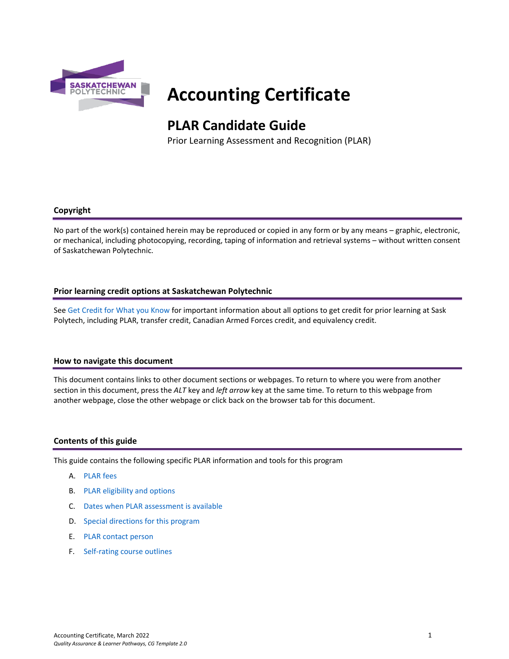

# **Accounting Certificate**

# **PLAR Candidate Guide**

Prior Learning Assessment and Recognition (PLAR)

# **Copyright**

No part of the work(s) contained herein may be reproduced or copied in any form or by any means – graphic, electronic, or mechanical, including photocopying, recording, taping of information and retrieval systems – without written consent of Saskatchewan Polytechnic.

# **Prior learning credit options at Saskatchewan Polytechnic**

Se[e Get Credit for What you Know](https://saskpolytech.ca/admissions/get-credit/) for important information about all options to get credit for prior learning at Sask Polytech, including PLAR, transfer credit, Canadian Armed Forces credit, and equivalency credit.

#### **How to navigate this document**

This document contains links to other document sections or webpages. To return to where you were from another section in this document, press the *ALT* key and *left arrow* key at the same time. To return to this webpage from another webpage, close the other webpage or click back on the browser tab for this document.

# **Contents of this guide**

This guide contains the following specific PLAR information and tools for this program

- A. [PLAR fees](#page-1-0)
- B. [PLAR eligibility and options](#page-1-1)
- C. [Dates when PLAR assessment is available](#page-1-2)
- D. [Special directions for this program](#page-1-3)
- E. PLAR [contact person](#page-2-0)
- F. [Self-rating course outlines](#page-2-1)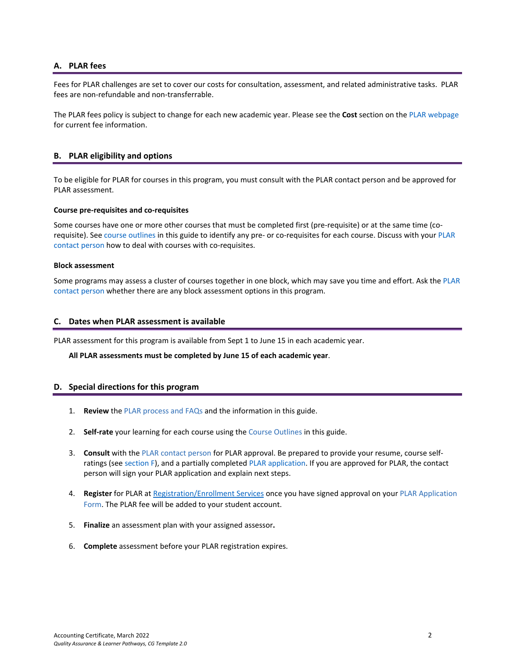# <span id="page-1-0"></span>**A. PLAR fees**

Fees for PLAR challenges are set to cover our costs for consultation, assessment, and related administrative tasks. PLAR fees are non-refundable and non-transferrable.

<span id="page-1-1"></span>The PLAR fees policy is subject to change for each new academic year. Please see the **Cost** section on the [PLAR webpage](https://saskpolytech.ca/admissions/get-credit/plar.aspx) for current fee information.

# **B. PLAR eligibility and options**

To be eligible for PLAR for courses in this program, you must consult with the PLAR contact person and be approved for PLAR assessment.

#### **Course pre-requisites and co-requisites**

Some courses have one or more other courses that must be completed first (pre-requisite) or at the same time (corequisite). See course outlines in this guide to identify any pre- or co-requisites for each course. Discuss with your [PLAR](#page-2-0)  [contact person](#page-2-0) how to deal with courses with co-requisites.

#### **Block assessment**

<span id="page-1-2"></span>Some programs may assess a cluster of courses together in one block, which may save you time and effort. Ask the PLAR [contact person](#page-2-0) whether there are any block assessment options in this program.

#### **C. Dates when PLAR assessment is available**

PLAR assessment for this program is available from Sept 1 to June 15 in each academic year.

#### <span id="page-1-3"></span>**All PLAR assessments must be completed by June 15 of each academic year**.

#### **D. Special directions for this program**

- 1. **Review** th[e PLAR process and FAQs](https://saskpolytech.ca/admissions/get-credit/plar.aspx) and the information in this guide.
- 2. **Self-rate** your learning for each course using the Course Outlines in this guide.
- 3. **Consult** with th[e PLAR contact person](#page-2-0) for PLAR approval. Be prepared to provide your resume, course selfratings (see section F), and a partially complete[d PLAR application.](https://saskpolytech.ca/admissions/resources/documents/plar-application-form.pdf) If you are approved for PLAR, the contact person will sign your PLAR application and explain next steps.
- 4. **Register** for PLAR a[t Registration/Enrollment Services](https://saskpolytech.ca/admissions/resources/contact-us.aspx) once you have signed approval on your [PLAR Application](http://saskpolytech.ca/admissions/resources/documents/plar-application-form.pdf)  [Form.](http://saskpolytech.ca/admissions/resources/documents/plar-application-form.pdf) The PLAR fee will be added to your student account.
- 5. **Finalize** an assessment plan with your assigned assessor**.**
- 6. **Complete** assessment before your PLAR registration expires.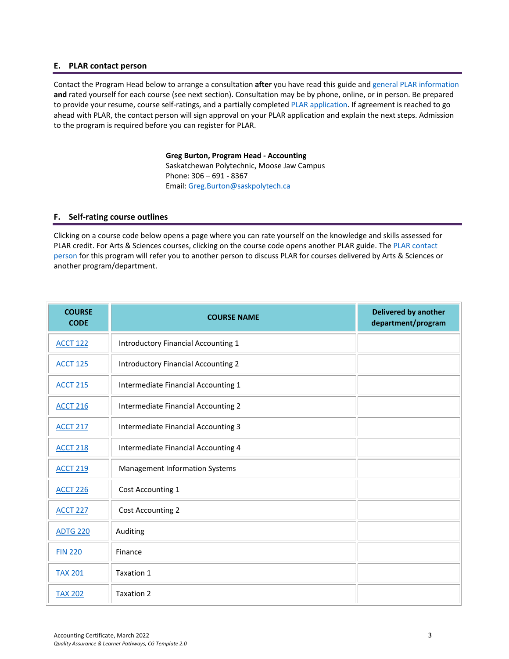#### <span id="page-2-0"></span>**E. PLAR contact person**

Contact the Program Head below to arrange a consultation **after** you have read this guide an[d general PLAR information](http://saskpolytech.ca/admissions/resources/prior-learning-process.aspx)  **and** rated yourself for each course (see next section). Consultation may be by phone, online, or in person. Be prepared to provide your resume, course self-ratings, and a partially completed [PLAR application.](https://saskpolytech.ca/admissions/resources/documents/plar-application-form.pdf#search=PLAR%20application) If agreement is reached to go ahead with PLAR, the contact person will sign approval on your PLAR application and explain the next steps. Admission to the program is required before you can register for PLAR.

> **Greg Burton, Program Head - Accounting** Saskatchewan Polytechnic, Moose Jaw Campus Phone: 306 – 691 - 8367 Email[: Greg.Burton@saskpolytech.ca](mailto:Greg.Burton@saskpolytech.ca)

#### <span id="page-2-1"></span>**F. Self-rating course outlines**

Clicking on a course code below opens a page where you can rate yourself on the knowledge and skills assessed for PLAR credit. For Arts & Sciences courses, clicking on the course code opens another PLAR guide. The PLAR contact [person](#page-2-0) for this program will refer you to another person to discuss PLAR for courses delivered by Arts & Sciences or another program/department.

| <b>COURSE</b><br><b>CODE</b> | <b>COURSE NAME</b>                         | <b>Delivered by another</b><br>department/program |
|------------------------------|--------------------------------------------|---------------------------------------------------|
| <b>ACCT 122</b>              | <b>Introductory Financial Accounting 1</b> |                                                   |
| <b>ACCT 125</b>              | <b>Introductory Financial Accounting 2</b> |                                                   |
| <b>ACCT 215</b>              | Intermediate Financial Accounting 1        |                                                   |
| <b>ACCT 216</b>              | Intermediate Financial Accounting 2        |                                                   |
| <b>ACCT 217</b>              | Intermediate Financial Accounting 3        |                                                   |
| <b>ACCT 218</b>              | Intermediate Financial Accounting 4        |                                                   |
| <b>ACCT 219</b>              | Management Information Systems             |                                                   |
| <b>ACCT 226</b>              | Cost Accounting 1                          |                                                   |
| <b>ACCT 227</b>              | Cost Accounting 2                          |                                                   |
| <b>ADTG 220</b>              | Auditing                                   |                                                   |
| <b>FIN 220</b>               | Finance                                    |                                                   |
| <b>TAX 201</b>               | Taxation 1                                 |                                                   |
| <b>TAX 202</b>               | Taxation 2                                 |                                                   |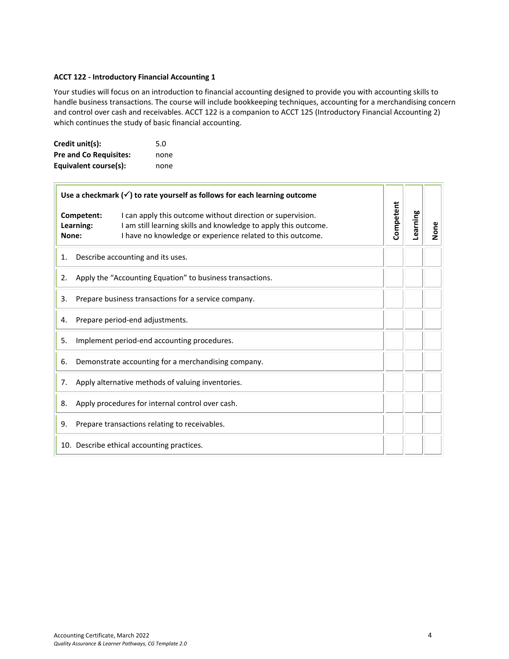#### <span id="page-3-0"></span>**ACCT 122 - Introductory Financial Accounting 1**

Your studies will focus on an introduction to financial accounting designed to provide you with accounting skills to handle business transactions. The course will include bookkeeping techniques, accounting for a merchandising concern and control over cash and receivables. ACCT 122 is a companion to ACCT 125 (Introductory Financial Accounting 2) which continues the study of basic financial accounting.

| Credit unit(s):               | 5.0  |
|-------------------------------|------|
| <b>Pre and Co Requisites:</b> | none |
| Equivalent course(s):         | none |

|                                                   |                                                     | Use a checkmark $(\checkmark)$ to rate yourself as follows for each learning outcome                                                                                                        |           |          |      |
|---------------------------------------------------|-----------------------------------------------------|---------------------------------------------------------------------------------------------------------------------------------------------------------------------------------------------|-----------|----------|------|
| None:                                             | Competent:<br>Learning:                             | I can apply this outcome without direction or supervision.<br>I am still learning skills and knowledge to apply this outcome.<br>I have no knowledge or experience related to this outcome. | Competent | Learning | None |
| 1.                                                |                                                     | Describe accounting and its uses.                                                                                                                                                           |           |          |      |
| 2.                                                |                                                     | Apply the "Accounting Equation" to business transactions.                                                                                                                                   |           |          |      |
| 3.                                                |                                                     | Prepare business transactions for a service company.                                                                                                                                        |           |          |      |
| Prepare period-end adjustments.<br>4.             |                                                     |                                                                                                                                                                                             |           |          |      |
| Implement period-end accounting procedures.<br>5. |                                                     |                                                                                                                                                                                             |           |          |      |
| 6.                                                | Demonstrate accounting for a merchandising company. |                                                                                                                                                                                             |           |          |      |
| 7.                                                | Apply alternative methods of valuing inventories.   |                                                                                                                                                                                             |           |          |      |
| 8.                                                | Apply procedures for internal control over cash.    |                                                                                                                                                                                             |           |          |      |
| 9.                                                |                                                     | Prepare transactions relating to receivables.                                                                                                                                               |           |          |      |
| 10. Describe ethical accounting practices.        |                                                     |                                                                                                                                                                                             |           |          |      |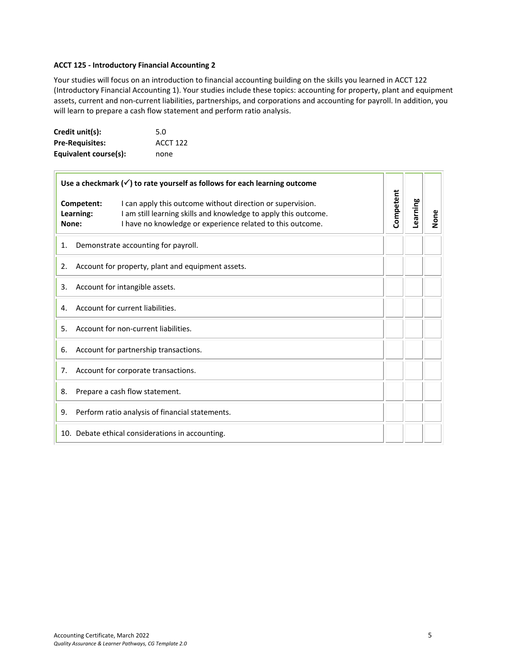#### <span id="page-4-0"></span>**ACCT 125 - Introductory Financial Accounting 2**

Your studies will focus on an introduction to financial accounting building on the skills you learned in ACCT 122 (Introductory Financial Accounting 1). Your studies include these topics: accounting for property, plant and equipment assets, current and non-current liabilities, partnerships, and corporations and accounting for payroll. In addition, you will learn to prepare a cash flow statement and perform ratio analysis.

| Credit unit(s):        | 5.0             |
|------------------------|-----------------|
| <b>Pre-Requisites:</b> | <b>ACCT 122</b> |
| Equivalent course(s):  | none            |

|                                                  |                                       | Use a checkmark $(\checkmark)$ to rate yourself as follows for each learning outcome                                                                                                        |           |          |      |
|--------------------------------------------------|---------------------------------------|---------------------------------------------------------------------------------------------------------------------------------------------------------------------------------------------|-----------|----------|------|
|                                                  | Competent:<br>Learning:<br>None:      | I can apply this outcome without direction or supervision.<br>I am still learning skills and knowledge to apply this outcome.<br>I have no knowledge or experience related to this outcome. | Competent | Learning | None |
| 1.                                               |                                       | Demonstrate accounting for payroll.                                                                                                                                                         |           |          |      |
| 2.                                               |                                       | Account for property, plant and equipment assets.                                                                                                                                           |           |          |      |
| 3.                                               |                                       | Account for intangible assets.                                                                                                                                                              |           |          |      |
| Account for current liabilities.<br>4.           |                                       |                                                                                                                                                                                             |           |          |      |
| Account for non-current liabilities.<br>5.       |                                       |                                                                                                                                                                                             |           |          |      |
| 6.                                               | Account for partnership transactions. |                                                                                                                                                                                             |           |          |      |
| 7.                                               | Account for corporate transactions.   |                                                                                                                                                                                             |           |          |      |
| 8.                                               |                                       | Prepare a cash flow statement.                                                                                                                                                              |           |          |      |
| 9.                                               |                                       | Perform ratio analysis of financial statements.                                                                                                                                             |           |          |      |
| 10. Debate ethical considerations in accounting. |                                       |                                                                                                                                                                                             |           |          |      |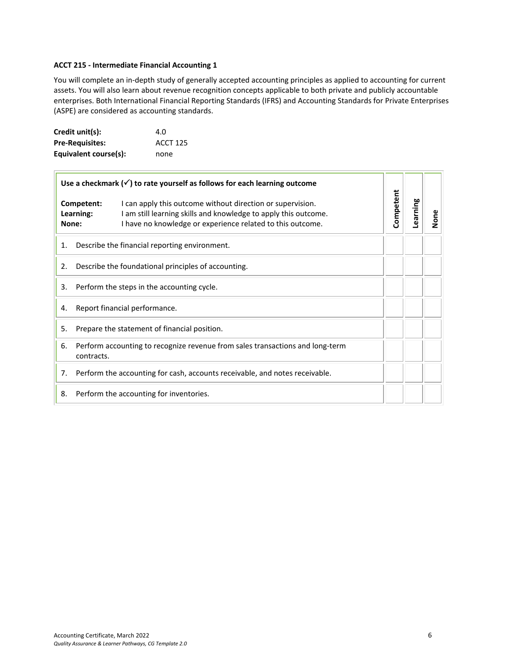#### <span id="page-5-0"></span>**ACCT 215 - Intermediate Financial Accounting 1**

You will complete an in-depth study of generally accepted accounting principles as applied to accounting for current assets. You will also learn about revenue recognition concepts applicable to both private and publicly accountable enterprises. Both International Financial Reporting Standards (IFRS) and Accounting Standards for Private Enterprises (ASPE) are considered as accounting standards.

| Credit unit(s):        | 4.O             |
|------------------------|-----------------|
| <b>Pre-Requisites:</b> | <b>ACCT 125</b> |
| Equivalent course(s):  | none            |

| Use a checkmark $(\checkmark)$ to rate yourself as follows for each learning outcome |                                                                                             |                                                                                                                                                                                             |           |          |      |
|--------------------------------------------------------------------------------------|---------------------------------------------------------------------------------------------|---------------------------------------------------------------------------------------------------------------------------------------------------------------------------------------------|-----------|----------|------|
|                                                                                      | Competent:<br>Learning:<br>None:                                                            | I can apply this outcome without direction or supervision.<br>I am still learning skills and knowledge to apply this outcome.<br>I have no knowledge or experience related to this outcome. | Competent | Learning | None |
| Describe the financial reporting environment.<br>1.                                  |                                                                                             |                                                                                                                                                                                             |           |          |      |
| Describe the foundational principles of accounting.<br>2.                            |                                                                                             |                                                                                                                                                                                             |           |          |      |
| Perform the steps in the accounting cycle.<br>3.                                     |                                                                                             |                                                                                                                                                                                             |           |          |      |
| Report financial performance.<br>4.                                                  |                                                                                             |                                                                                                                                                                                             |           |          |      |
| 5.                                                                                   | Prepare the statement of financial position.                                                |                                                                                                                                                                                             |           |          |      |
| 6.                                                                                   | Perform accounting to recognize revenue from sales transactions and long-term<br>contracts. |                                                                                                                                                                                             |           |          |      |
| 7.                                                                                   | Perform the accounting for cash, accounts receivable, and notes receivable.                 |                                                                                                                                                                                             |           |          |      |
| Perform the accounting for inventories.<br>8.                                        |                                                                                             |                                                                                                                                                                                             |           |          |      |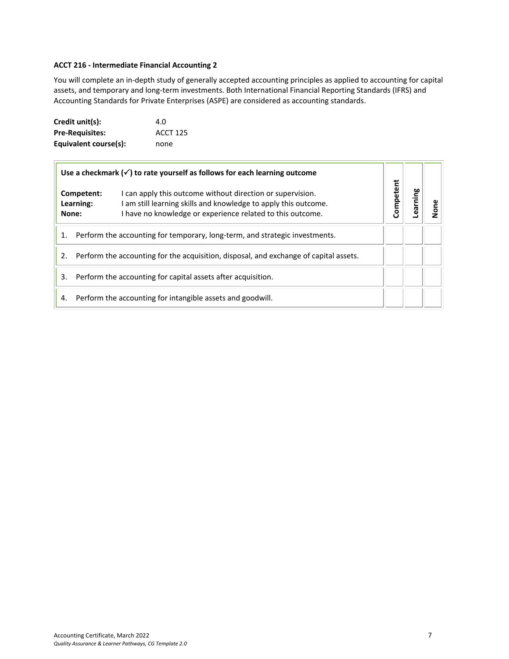# <span id="page-6-0"></span>**ACCT 216 - Intermediate Financial Accounting 2**

You will complete an in-depth study of generally accepted accounting principles as applied to accounting for capital assets, and temporary and long-term investments. Both International Financial Reporting Standards (IFRS) and Accounting Standards for Private Enterprises (ASPE) are considered as accounting standards.

| Credit unit(s):        | 4.0             |
|------------------------|-----------------|
| <b>Pre-Requisites:</b> | <b>ACCT 125</b> |
| Equivalent course(s):  | none            |

| Use a checkmark $(\checkmark)$ to rate yourself as follows for each learning outcome                                                                                                                                            |  |           |         |  |
|---------------------------------------------------------------------------------------------------------------------------------------------------------------------------------------------------------------------------------|--|-----------|---------|--|
| I can apply this outcome without direction or supervision.<br>Competent:<br>I am still learning skills and knowledge to apply this outcome.<br>Learning:<br>I have no knowledge or experience related to this outcome.<br>None: |  | Competent | earning |  |
| Perform the accounting for temporary, long-term, and strategic investments.<br>1.                                                                                                                                               |  |           |         |  |
| Perform the accounting for the acquisition, disposal, and exchange of capital assets.<br>2.                                                                                                                                     |  |           |         |  |
| Perform the accounting for capital assets after acquisition.<br>3.                                                                                                                                                              |  |           |         |  |
| Perform the accounting for intangible assets and goodwill.<br>4.                                                                                                                                                                |  |           |         |  |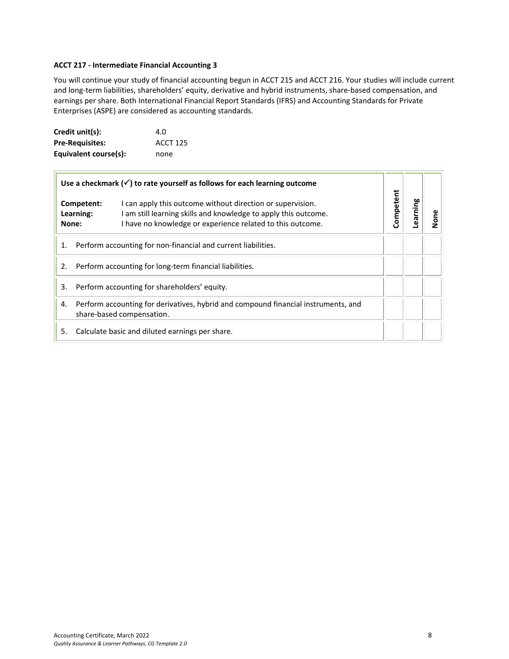#### <span id="page-7-0"></span>**ACCT 217 - Intermediate Financial Accounting 3**

You will continue your study of financial accounting begun in ACCT 215 and ACCT 216. Your studies will include current and long-term liabilities, shareholders' equity, derivative and hybrid instruments, share-based compensation, and earnings per share. Both International Financial Report Standards (IFRS) and Accounting Standards for Private Enterprises (ASPE) are considered as accounting standards.

| Credit unit(s):        | 4.O             |
|------------------------|-----------------|
| <b>Pre-Requisites:</b> | <b>ACCT 125</b> |
| Equivalent course(s):  | none            |

| Use a checkmark $(\checkmark)$ to rate yourself as follows for each learning outcome                                                                                                                                            |           |         |  |
|---------------------------------------------------------------------------------------------------------------------------------------------------------------------------------------------------------------------------------|-----------|---------|--|
| I can apply this outcome without direction or supervision.<br>Competent:<br>I am still learning skills and knowledge to apply this outcome.<br>Learning:<br>I have no knowledge or experience related to this outcome.<br>None: | Competent | earning |  |
| Perform accounting for non-financial and current liabilities.<br>1.                                                                                                                                                             |           |         |  |
| Perform accounting for long-term financial liabilities.<br>2.                                                                                                                                                                   |           |         |  |
| Perform accounting for shareholders' equity.<br>3.                                                                                                                                                                              |           |         |  |
| Perform accounting for derivatives, hybrid and compound financial instruments, and<br>4.<br>share-based compensation.                                                                                                           |           |         |  |
| Calculate basic and diluted earnings per share.<br>5.                                                                                                                                                                           |           |         |  |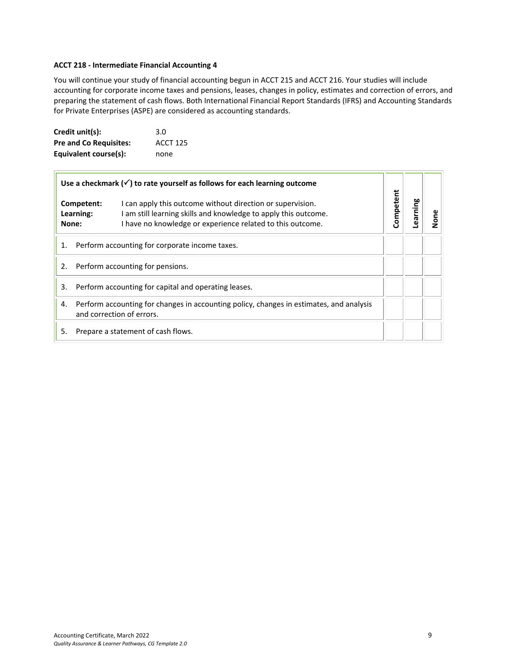#### <span id="page-8-0"></span>**ACCT 218 - Intermediate Financial Accounting 4**

You will continue your study of financial accounting begun in ACCT 215 and ACCT 216. Your studies will include accounting for corporate income taxes and pensions, leases, changes in policy, estimates and correction of errors, and preparing the statement of cash flows. Both International Financial Report Standards (IFRS) and Accounting Standards for Private Enterprises (ASPE) are considered as accounting standards.

| Credit unit(s):               | 3.0             |
|-------------------------------|-----------------|
| <b>Pre and Co Requisites:</b> | <b>ACCT 125</b> |
| Equivalent course(s):         | none            |

| Use a checkmark $(\checkmark)$ to rate yourself as follows for each learning outcome                                                                                                                                            |           |         |  |
|---------------------------------------------------------------------------------------------------------------------------------------------------------------------------------------------------------------------------------|-----------|---------|--|
| I can apply this outcome without direction or supervision.<br>Competent:<br>I am still learning skills and knowledge to apply this outcome.<br>Learning:<br>I have no knowledge or experience related to this outcome.<br>None: | Competent | earning |  |
| Perform accounting for corporate income taxes.<br>1.                                                                                                                                                                            |           |         |  |
| Perform accounting for pensions.<br>2.                                                                                                                                                                                          |           |         |  |
| Perform accounting for capital and operating leases.<br>3.                                                                                                                                                                      |           |         |  |
| Perform accounting for changes in accounting policy, changes in estimates, and analysis<br>4.<br>and correction of errors.                                                                                                      |           |         |  |
| Prepare a statement of cash flows.<br>5.                                                                                                                                                                                        |           |         |  |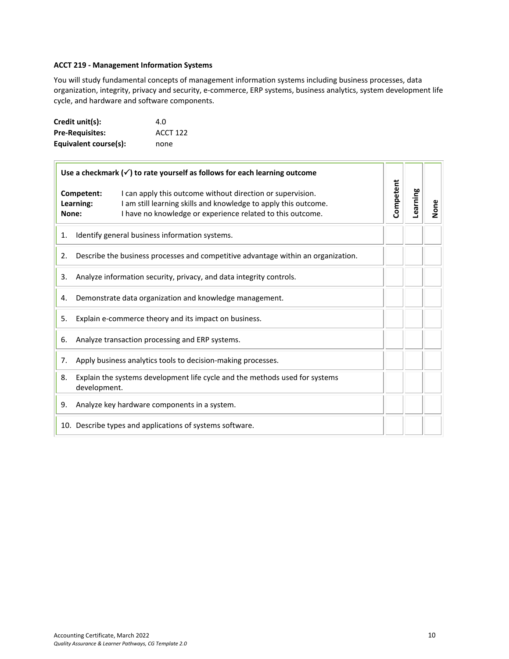# <span id="page-9-0"></span>**ACCT 219 - Management Information Systems**

You will study fundamental concepts of management information systems including business processes, data organization, integrity, privacy and security, e-commerce, ERP systems, business analytics, system development life cycle, and hardware and software components.

| Credit unit(s):        | 4.O             |
|------------------------|-----------------|
| <b>Pre-Requisites:</b> | <b>ACCT 122</b> |
| Equivalent course(s):  | none            |

| Use a checkmark $(\checkmark)$ to rate yourself as follows for each learning outcome |                                                              |                                                                                                                                                                                             |           |          |      |
|--------------------------------------------------------------------------------------|--------------------------------------------------------------|---------------------------------------------------------------------------------------------------------------------------------------------------------------------------------------------|-----------|----------|------|
| None:                                                                                | Competent:<br>Learning:                                      | I can apply this outcome without direction or supervision.<br>I am still learning skills and knowledge to apply this outcome.<br>I have no knowledge or experience related to this outcome. | Competent | Learning | None |
| 1.                                                                                   |                                                              | Identify general business information systems.                                                                                                                                              |           |          |      |
| 2.                                                                                   |                                                              | Describe the business processes and competitive advantage within an organization.                                                                                                           |           |          |      |
| 3.                                                                                   |                                                              | Analyze information security, privacy, and data integrity controls.                                                                                                                         |           |          |      |
| 4.                                                                                   |                                                              | Demonstrate data organization and knowledge management.                                                                                                                                     |           |          |      |
| 5.                                                                                   |                                                              | Explain e-commerce theory and its impact on business.                                                                                                                                       |           |          |      |
| Analyze transaction processing and ERP systems.<br>6.                                |                                                              |                                                                                                                                                                                             |           |          |      |
| 7.                                                                                   | Apply business analytics tools to decision-making processes. |                                                                                                                                                                                             |           |          |      |
| 8.                                                                                   | development.                                                 | Explain the systems development life cycle and the methods used for systems                                                                                                                 |           |          |      |
| 9.                                                                                   |                                                              | Analyze key hardware components in a system.                                                                                                                                                |           |          |      |
|                                                                                      |                                                              | 10. Describe types and applications of systems software.                                                                                                                                    |           |          |      |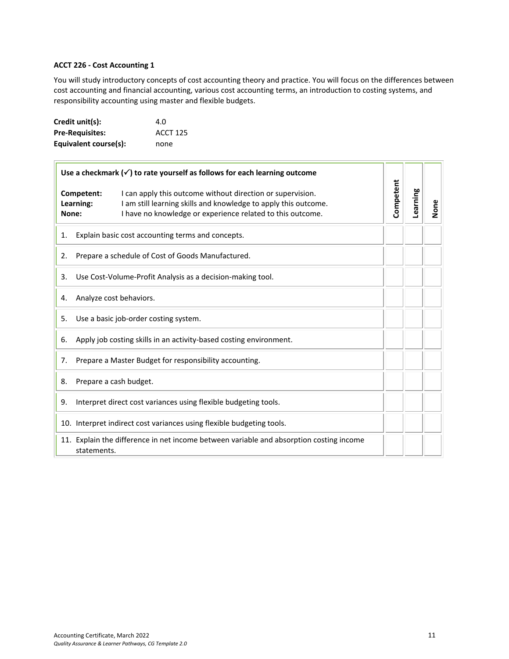# <span id="page-10-0"></span>**ACCT 226 - Cost Accounting 1**

You will study introductory concepts of cost accounting theory and practice. You will focus on the differences between cost accounting and financial accounting, various cost accounting terms, an introduction to costing systems, and responsibility accounting using master and flexible budgets.

| Credit unit(s):        | 4.O             |
|------------------------|-----------------|
| <b>Pre-Requisites:</b> | <b>ACCT 125</b> |
| Equivalent course(s):  | none            |

| Use a checkmark $(\checkmark)$ to rate yourself as follows for each learning outcome |                                                                                                                                                                                             |           |          |      |
|--------------------------------------------------------------------------------------|---------------------------------------------------------------------------------------------------------------------------------------------------------------------------------------------|-----------|----------|------|
| Competent:<br>Learning:<br>None:                                                     | I can apply this outcome without direction or supervision.<br>I am still learning skills and knowledge to apply this outcome.<br>I have no knowledge or experience related to this outcome. | Competent | Learning | None |
| 1.                                                                                   | Explain basic cost accounting terms and concepts.                                                                                                                                           |           |          |      |
| 2.                                                                                   | Prepare a schedule of Cost of Goods Manufactured.                                                                                                                                           |           |          |      |
| 3.                                                                                   | Use Cost-Volume-Profit Analysis as a decision-making tool.                                                                                                                                  |           |          |      |
| 4.                                                                                   | Analyze cost behaviors.                                                                                                                                                                     |           |          |      |
| 5.                                                                                   | Use a basic job-order costing system.                                                                                                                                                       |           |          |      |
| Apply job costing skills in an activity-based costing environment.<br>6.             |                                                                                                                                                                                             |           |          |      |
| Prepare a Master Budget for responsibility accounting.<br>7.                         |                                                                                                                                                                                             |           |          |      |
| 8.                                                                                   | Prepare a cash budget.                                                                                                                                                                      |           |          |      |
| 9.                                                                                   | Interpret direct cost variances using flexible budgeting tools.                                                                                                                             |           |          |      |
|                                                                                      | 10. Interpret indirect cost variances using flexible budgeting tools.                                                                                                                       |           |          |      |
|                                                                                      | 11. Explain the difference in net income between variable and absorption costing income<br>statements.                                                                                      |           |          |      |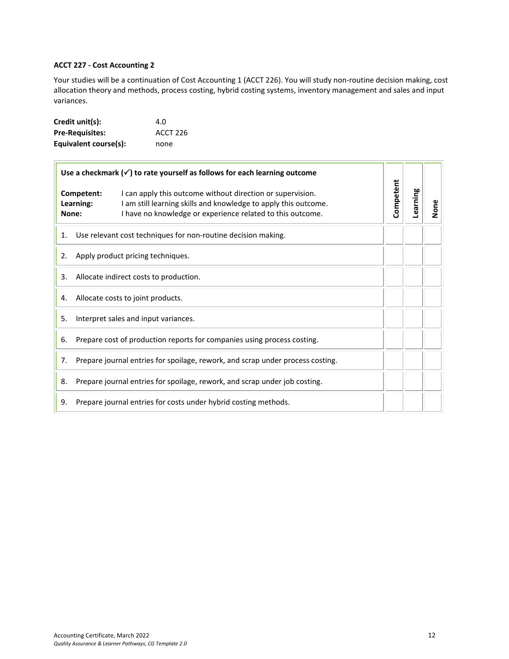# <span id="page-11-0"></span>**ACCT 227 - Cost Accounting 2**

Your studies will be a continuation of Cost Accounting 1 (ACCT 226). You will study non-routine decision making, cost allocation theory and methods, process costing, hybrid costing systems, inventory management and sales and input variances.

| Credit unit(s):        | 4.0      |
|------------------------|----------|
| <b>Pre-Requisites:</b> | ACCT 226 |
| Equivalent course(s):  | none     |

| Use a checkmark $(\checkmark)$ to rate yourself as follows for each learning outcome |                                                                                |                                                                                                                                                                                             |           |          |      |
|--------------------------------------------------------------------------------------|--------------------------------------------------------------------------------|---------------------------------------------------------------------------------------------------------------------------------------------------------------------------------------------|-----------|----------|------|
| None:                                                                                | Competent:<br>Learning:                                                        | I can apply this outcome without direction or supervision.<br>I am still learning skills and knowledge to apply this outcome.<br>I have no knowledge or experience related to this outcome. | Competent | Learning | None |
| 1.                                                                                   |                                                                                | Use relevant cost techniques for non-routine decision making.                                                                                                                               |           |          |      |
| 2.                                                                                   |                                                                                | Apply product pricing techniques.                                                                                                                                                           |           |          |      |
| 3.                                                                                   |                                                                                | Allocate indirect costs to production.                                                                                                                                                      |           |          |      |
| 4.                                                                                   |                                                                                | Allocate costs to joint products.                                                                                                                                                           |           |          |      |
| Interpret sales and input variances.<br>5.                                           |                                                                                |                                                                                                                                                                                             |           |          |      |
| 6.                                                                                   | Prepare cost of production reports for companies using process costing.        |                                                                                                                                                                                             |           |          |      |
| 7.                                                                                   | Prepare journal entries for spoilage, rework, and scrap under process costing. |                                                                                                                                                                                             |           |          |      |
| 8.                                                                                   |                                                                                | Prepare journal entries for spoilage, rework, and scrap under job costing.                                                                                                                  |           |          |      |
| 9.                                                                                   |                                                                                | Prepare journal entries for costs under hybrid costing methods.                                                                                                                             |           |          |      |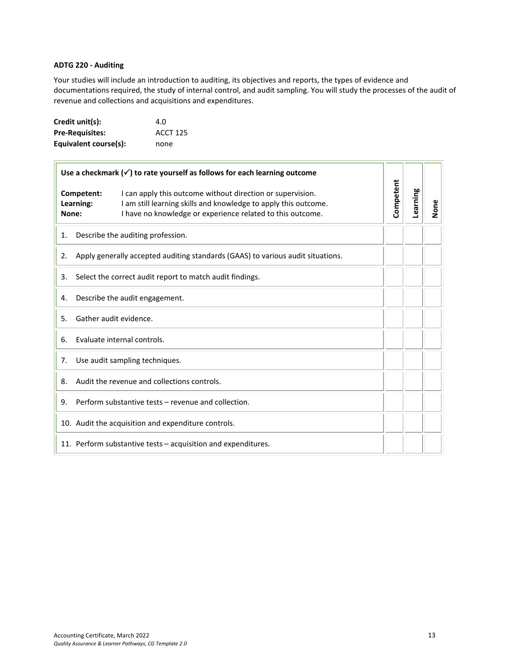# <span id="page-12-0"></span>**ADTG 220 - Auditing**

Your studies will include an introduction to auditing, its objectives and reports, the types of evidence and documentations required, the study of internal control, and audit sampling. You will study the processes of the audit of revenue and collections and acquisitions and expenditures.

| Credit unit(s):        | 4.O             |
|------------------------|-----------------|
| <b>Pre-Requisites:</b> | <b>ACCT 125</b> |
| Equivalent course(s):  | none            |

| Use a checkmark $(\checkmark)$ to rate yourself as follows for each learning outcome |                                                                                                                                                                                             |           |          |      |
|--------------------------------------------------------------------------------------|---------------------------------------------------------------------------------------------------------------------------------------------------------------------------------------------|-----------|----------|------|
| Competent:<br>Learning:<br>None:                                                     | I can apply this outcome without direction or supervision.<br>I am still learning skills and knowledge to apply this outcome.<br>I have no knowledge or experience related to this outcome. | Competent | Learning | None |
| 1.                                                                                   | Describe the auditing profession.                                                                                                                                                           |           |          |      |
| 2.                                                                                   | Apply generally accepted auditing standards (GAAS) to various audit situations.                                                                                                             |           |          |      |
| 3.                                                                                   | Select the correct audit report to match audit findings.                                                                                                                                    |           |          |      |
| 4.                                                                                   | Describe the audit engagement.                                                                                                                                                              |           |          |      |
| Gather audit evidence.<br>5.                                                         |                                                                                                                                                                                             |           |          |      |
| Evaluate internal controls.<br>6.                                                    |                                                                                                                                                                                             |           |          |      |
| Use audit sampling techniques.<br>7.                                                 |                                                                                                                                                                                             |           |          |      |
| 8.                                                                                   | Audit the revenue and collections controls.                                                                                                                                                 |           |          |      |
| 9.                                                                                   | Perform substantive tests – revenue and collection.                                                                                                                                         |           |          |      |
|                                                                                      | 10. Audit the acquisition and expenditure controls.                                                                                                                                         |           |          |      |
|                                                                                      | 11. Perform substantive tests – acquisition and expenditures.                                                                                                                               |           |          |      |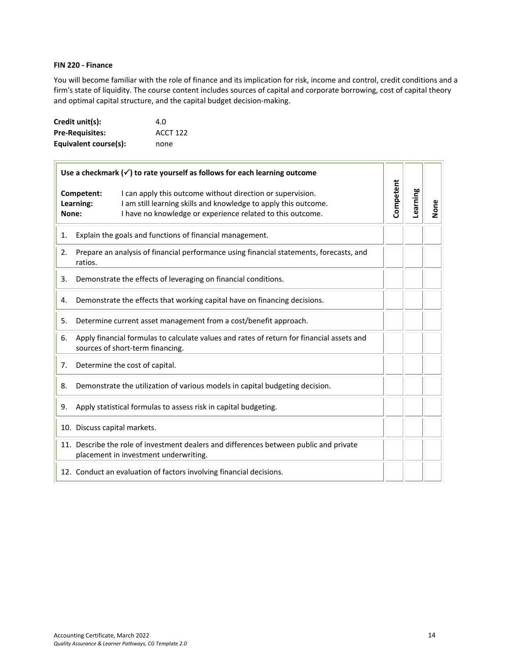# <span id="page-13-0"></span>**FIN 220 - Finance**

You will become familiar with the role of finance and its implication for risk, income and control, credit conditions and a firm's state of liquidity. The course content includes sources of capital and corporate borrowing, cost of capital theory and optimal capital structure, and the capital budget decision-making.

| Credit unit(s):        | 4.O             |
|------------------------|-----------------|
| <b>Pre-Requisites:</b> | <b>ACCT 122</b> |
| Equivalent course(s):  | none            |

| Use a checkmark $(\checkmark)$ to rate yourself as follows for each learning outcome |                                                                                                                                                                                                                                 |           |          |      |
|--------------------------------------------------------------------------------------|---------------------------------------------------------------------------------------------------------------------------------------------------------------------------------------------------------------------------------|-----------|----------|------|
|                                                                                      | I can apply this outcome without direction or supervision.<br>Competent:<br>I am still learning skills and knowledge to apply this outcome.<br>Learning:<br>I have no knowledge or experience related to this outcome.<br>None: | Competent | Learning | None |
| 1.                                                                                   | Explain the goals and functions of financial management.                                                                                                                                                                        |           |          |      |
| 2.                                                                                   | Prepare an analysis of financial performance using financial statements, forecasts, and<br>ratios.                                                                                                                              |           |          |      |
| 3.                                                                                   | Demonstrate the effects of leveraging on financial conditions.                                                                                                                                                                  |           |          |      |
| 4.                                                                                   | Demonstrate the effects that working capital have on financing decisions.                                                                                                                                                       |           |          |      |
| 5.                                                                                   | Determine current asset management from a cost/benefit approach.                                                                                                                                                                |           |          |      |
| 6.                                                                                   | Apply financial formulas to calculate values and rates of return for financial assets and<br>sources of short-term financing.                                                                                                   |           |          |      |
| 7.                                                                                   | Determine the cost of capital.                                                                                                                                                                                                  |           |          |      |
| 8.                                                                                   | Demonstrate the utilization of various models in capital budgeting decision.                                                                                                                                                    |           |          |      |
| 9.                                                                                   | Apply statistical formulas to assess risk in capital budgeting.                                                                                                                                                                 |           |          |      |
|                                                                                      | 10. Discuss capital markets.                                                                                                                                                                                                    |           |          |      |
|                                                                                      | 11. Describe the role of investment dealers and differences between public and private<br>placement in investment underwriting.                                                                                                 |           |          |      |
|                                                                                      | 12. Conduct an evaluation of factors involving financial decisions.                                                                                                                                                             |           |          |      |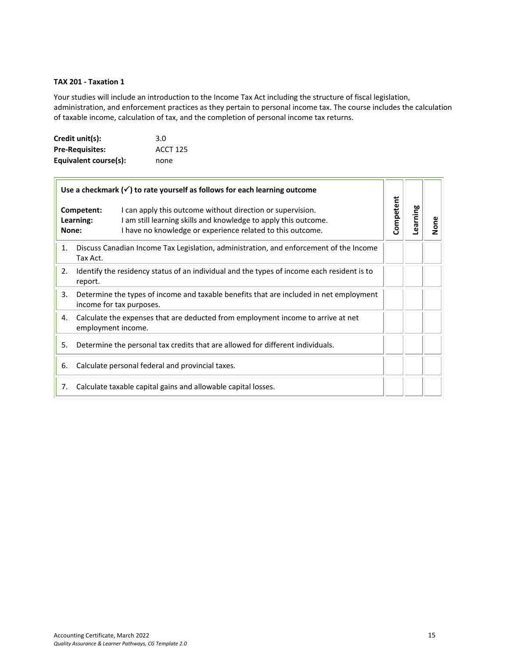# <span id="page-14-0"></span>**TAX 201 - Taxation 1**

 $\overline{a}$ 

Your studies will include an introduction to the Income Tax Act including the structure of fiscal legislation, administration, and enforcement practices as they pertain to personal income tax. The course includes the calculation of taxable income, calculation of tax, and the completion of personal income tax returns.

| Credit unit(s):        | 3.0             |
|------------------------|-----------------|
| <b>Pre-Requisites:</b> | <b>ACCT 125</b> |
| Equivalent course(s):  | none            |

| Use a checkmark $(\checkmark)$ to rate yourself as follows for each learning outcome |                                                                                                                                                                                                                        |           |          |      |
|--------------------------------------------------------------------------------------|------------------------------------------------------------------------------------------------------------------------------------------------------------------------------------------------------------------------|-----------|----------|------|
| None:                                                                                | Competent:<br>I can apply this outcome without direction or supervision.<br>Learning:<br>I am still learning skills and knowledge to apply this outcome.<br>I have no knowledge or experience related to this outcome. | Competent | Learning | None |
| 1.                                                                                   | Discuss Canadian Income Tax Legislation, administration, and enforcement of the Income<br>Tax Act.                                                                                                                     |           |          |      |
| 2.                                                                                   | Identify the residency status of an individual and the types of income each resident is to<br>report.                                                                                                                  |           |          |      |
| 3.                                                                                   | Determine the types of income and taxable benefits that are included in net employment<br>income for tax purposes.                                                                                                     |           |          |      |
| 4.                                                                                   | Calculate the expenses that are deducted from employment income to arrive at net<br>employment income.                                                                                                                 |           |          |      |
| 5.                                                                                   | Determine the personal tax credits that are allowed for different individuals.                                                                                                                                         |           |          |      |
| 6.                                                                                   | Calculate personal federal and provincial taxes.                                                                                                                                                                       |           |          |      |
| 7.                                                                                   | Calculate taxable capital gains and allowable capital losses.                                                                                                                                                          |           |          |      |